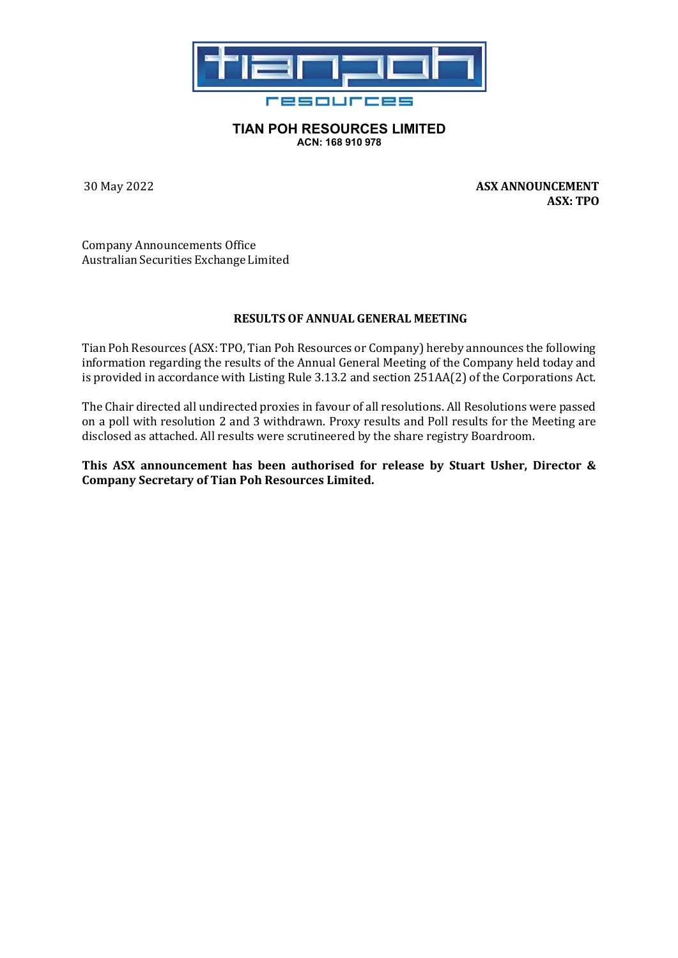

## **TIAN POH RESOURCES LIMITED ACN: 168 910 978**

30 May 2022 **ASX ANNOUNCEMENT ASX: TPO**

Company Announcements Office Australian Securities Exchange Limited

## **RESULTS OF ANNUAL GENERAL MEETING**

Tian Poh Resources (ASX: TPO, Tian Poh Resources or Company) hereby announces the following information regarding the results of the Annual General Meeting of the Company held today and is provided in accordance with Listing Rule 3.13.2 and section 251AA(2) of the Corporations Act.

The Chair directed all undirected proxies in favour of all resolutions. All Resolutions were passed on a poll with resolution 2 and 3 withdrawn. Proxy results and Poll results for the Meeting are disclosed as attached. All results were scrutineered by the share registry Boardroom.

**This ASX announcement has been authorised for release by Stuart Usher, Director & Company Secretary of Tian Poh Resources Limited.**